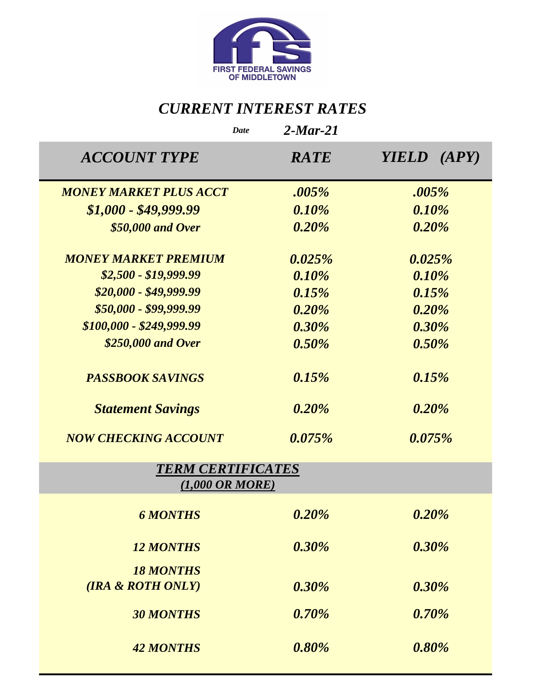

# *CURRENT INTEREST RATES*

| <b>Date</b>                                            | $2$ -Mar-21 |             |
|--------------------------------------------------------|-------------|-------------|
| <b>ACCOUNT TYPE</b>                                    | <b>RATE</b> | YIELD (APY) |
| <b>MONEY MARKET PLUS ACCT</b>                          | .005%       | .005%       |
| $$1,000 - $49,999.99$                                  | 0.10%       | 0.10%       |
| \$50,000 and Over                                      | 0.20%       | 0.20%       |
| <b>MONEY MARKET PREMIUM</b>                            | 0.025%      | 0.025%      |
| $$2,500 - $19,999.99$                                  | 0.10%       | 0.10%       |
| $$20,000 - $49,999.99$                                 | 0.15%       | 0.15%       |
| \$50,000 - \$99,999.99                                 | 0.20%       | 0.20%       |
| $$100,000 - $249,999.99$                               | $0.30\%$    | 0.30%       |
| \$250,000 and Over                                     | 0.50%       | 0.50%       |
| <b>PASSBOOK SAVINGS</b>                                | 0.15%       | 0.15%       |
| <b>Statement Savings</b>                               | 0.20%       | 0.20%       |
| <b>NOW CHECKING ACCOUNT</b>                            | 0.075%      | $0.075\%$   |
| <b>TERM CERTIFICATES</b><br>$(1,000 \text{ OR } MORE)$ |             |             |
| <b>6 MONTHS</b>                                        | 0.20%       | 0.20%       |
| <b>12 MONTHS</b>                                       | 0.30%       | 0.30%       |
| <b>18 MONTHS</b>                                       |             |             |
| (IRA & ROTH ONLY)                                      | $0.30\%$    | 0.30%       |
| <b>30 MONTHS</b>                                       | 0.70%       | 0.70%       |
| <b>42 MONTHS</b>                                       | 0.80%       | 0.80%       |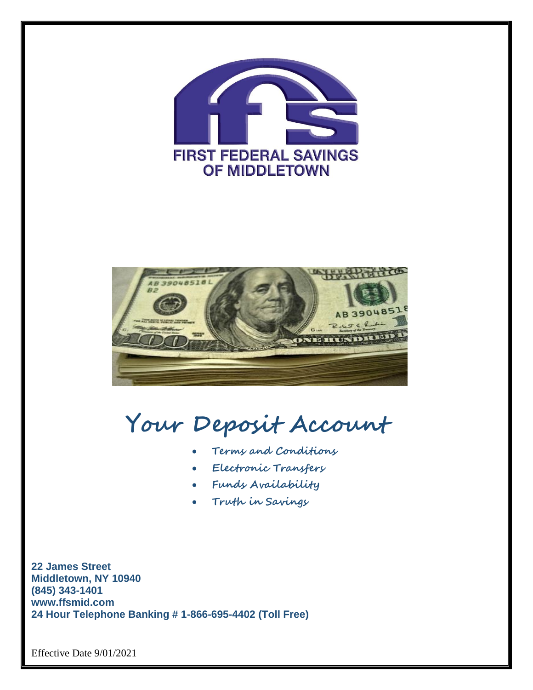



**Your Deposit Account**

- **Terms and Conditions**
- **Electronic Transfers**
- **Funds Availability**
- **Truth in Savings**

**22 James Street Middletown, NY 10940 (845) 343-1401 www.ffsmid.com 24 Hour Telephone Banking # 1-866-695-4402 (Toll Free)**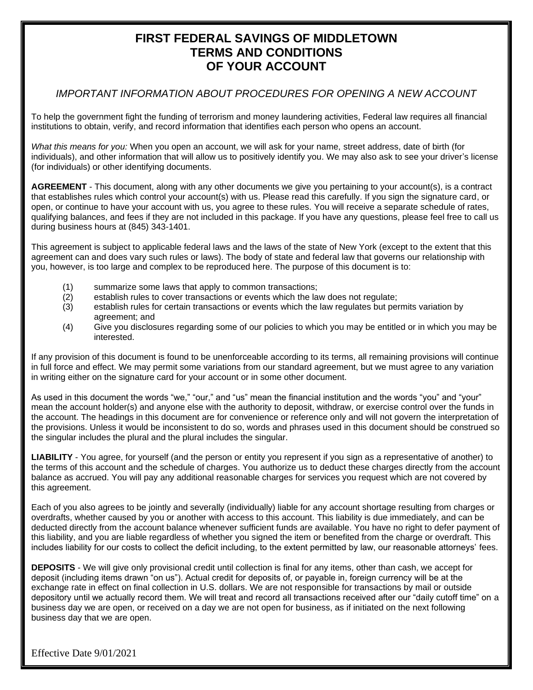## **FIRST FEDERAL SAVINGS OF MIDDLETOWN TERMS AND CONDITIONS OF YOUR ACCOUNT**

## *IMPORTANT INFORMATION ABOUT PROCEDURES FOR OPENING A NEW ACCOUNT*

To help the government fight the funding of terrorism and money laundering activities, Federal law requires all financial institutions to obtain, verify, and record information that identifies each person who opens an account.

*What this means for you:* When you open an account, we will ask for your name, street address, date of birth (for individuals), and other information that will allow us to positively identify you. We may also ask to see your driver's license (for individuals) or other identifying documents.

**AGREEMENT** - This document, along with any other documents we give you pertaining to your account(s), is a contract that establishes rules which control your account(s) with us. Please read this carefully. If you sign the signature card, or open, or continue to have your account with us, you agree to these rules. You will receive a separate schedule of rates, qualifying balances, and fees if they are not included in this package. If you have any questions, please feel free to call us during business hours at (845) 343-1401.

This agreement is subject to applicable federal laws and the laws of the state of New York (except to the extent that this agreement can and does vary such rules or laws). The body of state and federal law that governs our relationship with you, however, is too large and complex to be reproduced here. The purpose of this document is to:

- (1) summarize some laws that apply to common transactions;
- (2) establish rules to cover transactions or events which the law does not regulate;<br>(3) establish rules for certain transactions or events which the law regulates but per
- establish rules for certain transactions or events which the law regulates but permits variation by agreement; and
- (4) Give you disclosures regarding some of our policies to which you may be entitled or in which you may be interested.

If any provision of this document is found to be unenforceable according to its terms, all remaining provisions will continue in full force and effect. We may permit some variations from our standard agreement, but we must agree to any variation in writing either on the signature card for your account or in some other document.

As used in this document the words "we," "our," and "us" mean the financial institution and the words "you" and "your" mean the account holder(s) and anyone else with the authority to deposit, withdraw, or exercise control over the funds in the account. The headings in this document are for convenience or reference only and will not govern the interpretation of the provisions. Unless it would be inconsistent to do so, words and phrases used in this document should be construed so the singular includes the plural and the plural includes the singular.

**LIABILITY** - You agree, for yourself (and the person or entity you represent if you sign as a representative of another) to the terms of this account and the schedule of charges. You authorize us to deduct these charges directly from the account balance as accrued. You will pay any additional reasonable charges for services you request which are not covered by this agreement.

Each of you also agrees to be jointly and severally (individually) liable for any account shortage resulting from charges or overdrafts, whether caused by you or another with access to this account. This liability is due immediately, and can be deducted directly from the account balance whenever sufficient funds are available. You have no right to defer payment of this liability, and you are liable regardless of whether you signed the item or benefited from the charge or overdraft. This includes liability for our costs to collect the deficit including, to the extent permitted by law, our reasonable attorneys' fees.

**DEPOSITS** - We will give only provisional credit until collection is final for any items, other than cash, we accept for deposit (including items drawn "on us"). Actual credit for deposits of, or payable in, foreign currency will be at the exchange rate in effect on final collection in U.S. dollars. We are not responsible for transactions by mail or outside depository until we actually record them. We will treat and record all transactions received after our "daily cutoff time" on a business day we are open, or received on a day we are not open for business, as if initiated on the next following business day that we are open.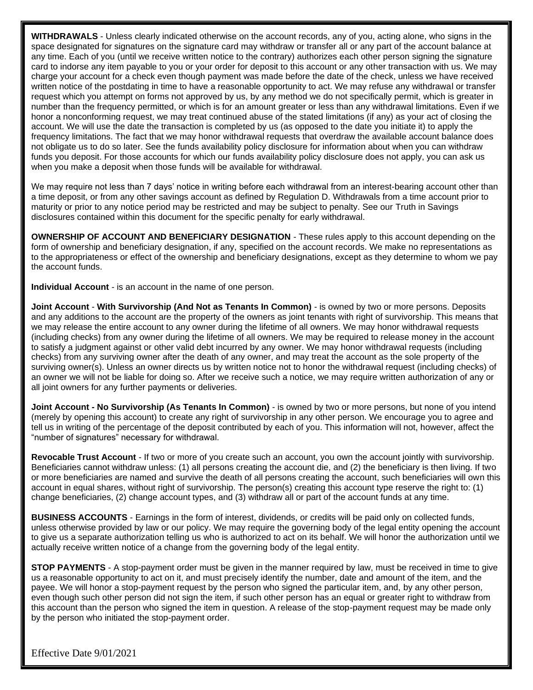**WITHDRAWALS** - Unless clearly indicated otherwise on the account records, any of you, acting alone, who signs in the space designated for signatures on the signature card may withdraw or transfer all or any part of the account balance at any time. Each of you (until we receive written notice to the contrary) authorizes each other person signing the signature card to indorse any item payable to you or your order for deposit to this account or any other transaction with us. We may charge your account for a check even though payment was made before the date of the check, unless we have received written notice of the postdating in time to have a reasonable opportunity to act. We may refuse any withdrawal or transfer request which you attempt on forms not approved by us, by any method we do not specifically permit, which is greater in number than the frequency permitted, or which is for an amount greater or less than any withdrawal limitations. Even if we honor a nonconforming request, we may treat continued abuse of the stated limitations (if any) as your act of closing the account. We will use the date the transaction is completed by us (as opposed to the date you initiate it) to apply the frequency limitations. The fact that we may honor withdrawal requests that overdraw the available account balance does not obligate us to do so later. See the funds availability policy disclosure for information about when you can withdraw funds you deposit. For those accounts for which our funds availability policy disclosure does not apply, you can ask us when you make a deposit when those funds will be available for withdrawal.

We may require not less than 7 days' notice in writing before each withdrawal from an interest-bearing account other than a time deposit, or from any other savings account as defined by Regulation D. Withdrawals from a time account prior to maturity or prior to any notice period may be restricted and may be subject to penalty. See our Truth in Savings disclosures contained within this document for the specific penalty for early withdrawal.

**OWNERSHIP OF ACCOUNT AND BENEFICIARY DESIGNATION** - These rules apply to this account depending on the form of ownership and beneficiary designation, if any, specified on the account records. We make no representations as to the appropriateness or effect of the ownership and beneficiary designations, except as they determine to whom we pay the account funds.

**Individual Account** - is an account in the name of one person.

**Joint Account** - **With Survivorship (And Not as Tenants In Common)** - is owned by two or more persons. Deposits and any additions to the account are the property of the owners as joint tenants with right of survivorship. This means that we may release the entire account to any owner during the lifetime of all owners. We may honor withdrawal requests (including checks) from any owner during the lifetime of all owners. We may be required to release money in the account to satisfy a judgment against or other valid debt incurred by any owner. We may honor withdrawal requests (including checks) from any surviving owner after the death of any owner, and may treat the account as the sole property of the surviving owner(s). Unless an owner directs us by written notice not to honor the withdrawal request (including checks) of an owner we will not be liable for doing so. After we receive such a notice, we may require written authorization of any or all joint owners for any further payments or deliveries.

**Joint Account - No Survivorship (As Tenants In Common)** - is owned by two or more persons, but none of you intend (merely by opening this account) to create any right of survivorship in any other person. We encourage you to agree and tell us in writing of the percentage of the deposit contributed by each of you. This information will not, however, affect the "number of signatures" necessary for withdrawal.

**Revocable Trust Account** - If two or more of you create such an account, you own the account jointly with survivorship. Beneficiaries cannot withdraw unless: (1) all persons creating the account die, and (2) the beneficiary is then living. If two or more beneficiaries are named and survive the death of all persons creating the account, such beneficiaries will own this account in equal shares, without right of survivorship. The person(s) creating this account type reserve the right to: (1) change beneficiaries, (2) change account types, and (3) withdraw all or part of the account funds at any time.

**BUSINESS ACCOUNTS** - Earnings in the form of interest, dividends, or credits will be paid only on collected funds, unless otherwise provided by law or our policy. We may require the governing body of the legal entity opening the account to give us a separate authorization telling us who is authorized to act on its behalf. We will honor the authorization until we actually receive written notice of a change from the governing body of the legal entity.

**STOP PAYMENTS** - A stop-payment order must be given in the manner required by law, must be received in time to give us a reasonable opportunity to act on it, and must precisely identify the number, date and amount of the item, and the payee. We will honor a stop-payment request by the person who signed the particular item, and, by any other person, even though such other person did not sign the item, if such other person has an equal or greater right to withdraw from this account than the person who signed the item in question. A release of the stop-payment request may be made only by the person who initiated the stop-payment order.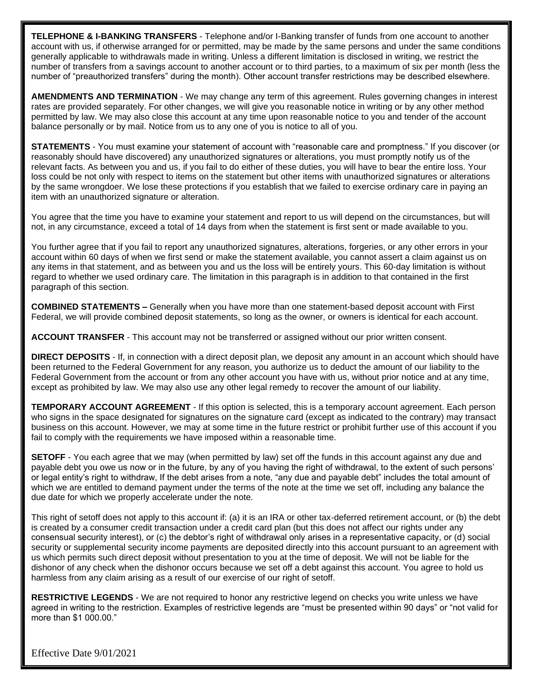**TELEPHONE & I-BANKING TRANSFERS** - Telephone and/or I-Banking transfer of funds from one account to another account with us, if otherwise arranged for or permitted, may be made by the same persons and under the same conditions generally applicable to withdrawals made in writing. Unless a different limitation is disclosed in writing, we restrict the number of transfers from a savings account to another account or to third parties, to a maximum of six per month (less the number of "preauthorized transfers" during the month). Other account transfer restrictions may be described elsewhere.

**AMENDMENTS AND TERMINATION** - We may change any term of this agreement. Rules governing changes in interest rates are provided separately. For other changes, we will give you reasonable notice in writing or by any other method permitted by law. We may also close this account at any time upon reasonable notice to you and tender of the account balance personally or by mail. Notice from us to any one of you is notice to all of you.

**STATEMENTS** - You must examine your statement of account with "reasonable care and promptness." If you discover (or reasonably should have discovered) any unauthorized signatures or alterations, you must promptly notify us of the relevant facts. As between you and us, if you fail to do either of these duties, you will have to bear the entire loss. Your loss could be not only with respect to items on the statement but other items with unauthorized signatures or alterations by the same wrongdoer. We lose these protections if you establish that we failed to exercise ordinary care in paying an item with an unauthorized signature or alteration.

You agree that the time you have to examine your statement and report to us will depend on the circumstances, but will not, in any circumstance, exceed a total of 14 days from when the statement is first sent or made available to you.

You further agree that if you fail to report any unauthorized signatures, alterations, forgeries, or any other errors in your account within 60 days of when we first send or make the statement available, you cannot assert a claim against us on any items in that statement, and as between you and us the loss will be entirely yours. This 60-day limitation is without regard to whether we used ordinary care. The limitation in this paragraph is in addition to that contained in the first paragraph of this section.

**COMBINED STATEMENTS –** Generally when you have more than one statement-based deposit account with First Federal, we will provide combined deposit statements, so long as the owner, or owners is identical for each account.

**ACCOUNT TRANSFER** - This account may not be transferred or assigned without our prior written consent.

**DIRECT DEPOSITS** - If, in connection with a direct deposit plan, we deposit any amount in an account which should have been returned to the Federal Government for any reason, you authorize us to deduct the amount of our liability to the Federal Government from the account or from any other account you have with us, without prior notice and at any time, except as prohibited by law. We may also use any other legal remedy to recover the amount of our liability.

**TEMPORARY ACCOUNT AGREEMENT** - If this option is selected, this is a temporary account agreement. Each person who signs in the space designated for signatures on the signature card (except as indicated to the contrary) may transact business on this account. However, we may at some time in the future restrict or prohibit further use of this account if you fail to comply with the requirements we have imposed within a reasonable time.

**SETOFF** - You each agree that we may (when permitted by law) set off the funds in this account against any due and payable debt you owe us now or in the future, by any of you having the right of withdrawal, to the extent of such persons' or legal entity's right to withdraw, If the debt arises from a note, "any due and payable debt" includes the total amount of which we are entitled to demand payment under the terms of the note at the time we set off, including any balance the due date for which we properly accelerate under the note.

This right of setoff does not apply to this account if: (a) it is an IRA or other tax-deferred retirement account, or (b) the debt is created by a consumer credit transaction under a credit card plan (but this does not affect our rights under any consensual security interest), or (c) the debtor's right of withdrawal only arises in a representative capacity, or (d) social security or supplemental security income payments are deposited directly into this account pursuant to an agreement with us which permits such direct deposit without presentation to you at the time of deposit. We will not be liable for the dishonor of any check when the dishonor occurs because we set off a debt against this account. You agree to hold us harmless from any claim arising as a result of our exercise of our right of setoff.

**RESTRICTIVE LEGENDS** - We are not required to honor any restrictive legend on checks you write unless we have agreed in writing to the restriction. Examples of restrictive legends are "must be presented within 90 days" or "not valid for more than \$1 000.00."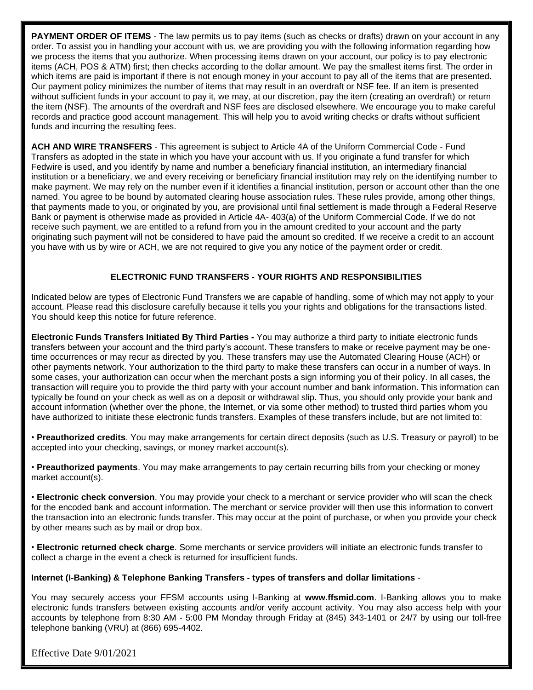**PAYMENT ORDER OF ITEMS** - The law permits us to pay items (such as checks or drafts) drawn on your account in any order. To assist you in handling your account with us, we are providing you with the following information regarding how we process the items that you authorize. When processing items drawn on your account, our policy is to pay electronic items (ACH, POS & ATM) first; then checks according to the dollar amount. We pay the smallest items first. The order in which items are paid is important if there is not enough money in your account to pay all of the items that are presented. Our payment policy minimizes the number of items that may result in an overdraft or NSF fee. If an item is presented without sufficient funds in your account to pay it, we may, at our discretion, pay the item (creating an overdraft) or return the item (NSF). The amounts of the overdraft and NSF fees are disclosed elsewhere. We encourage you to make careful records and practice good account management. This will help you to avoid writing checks or drafts without sufficient funds and incurring the resulting fees.

**ACH AND WIRE TRANSFERS** - This agreement is subject to Article 4A of the Uniform Commercial Code - Fund Transfers as adopted in the state in which you have your account with us. If you originate a fund transfer for which Fedwire is used, and you identify by name and number a beneficiary financial institution, an intermediary financial institution or a beneficiary, we and every receiving or beneficiary financial institution may rely on the identifying number to make payment. We may rely on the number even if it identifies a financial institution, person or account other than the one named. You agree to be bound by automated clearing house association rules. These rules provide, among other things, that payments made to you, or originated by you, are provisional until final settlement is made through a Federal Reserve Bank or payment is otherwise made as provided in Article 4A- 403(a) of the Uniform Commercial Code. If we do not receive such payment, we are entitled to a refund from you in the amount credited to your account and the party originating such payment will not be considered to have paid the amount so credited. If we receive a credit to an account you have with us by wire or ACH, we are not required to give you any notice of the payment order or credit.

## **ELECTRONIC FUND TRANSFERS - YOUR RIGHTS AND RESPONSIBILITIES**

Indicated below are types of Electronic Fund Transfers we are capable of handling, some of which may not apply to your account. Please read this disclosure carefully because it tells you your rights and obligations for the transactions listed. You should keep this notice for future reference.

**Electronic Funds Transfers Initiated By Third Parties -** You may authorize a third party to initiate electronic funds transfers between your account and the third party's account. These transfers to make or receive payment may be onetime occurrences or may recur as directed by you. These transfers may use the Automated Clearing House (ACH) or other payments network. Your authorization to the third party to make these transfers can occur in a number of ways. In some cases, your authorization can occur when the merchant posts a sign informing you of their policy. In all cases, the transaction will require you to provide the third party with your account number and bank information. This information can typically be found on your check as well as on a deposit or withdrawal slip. Thus, you should only provide your bank and account information (whether over the phone, the Internet, or via some other method) to trusted third parties whom you have authorized to initiate these electronic funds transfers. Examples of these transfers include, but are not limited to:

• **Preauthorized credits**. You may make arrangements for certain direct deposits (such as U.S. Treasury or payroll) to be accepted into your checking, savings, or money market account(s).

• **Preauthorized payments**. You may make arrangements to pay certain recurring bills from your checking or money market account(s).

• **Electronic check conversion**. You may provide your check to a merchant or service provider who will scan the check for the encoded bank and account information. The merchant or service provider will then use this information to convert the transaction into an electronic funds transfer. This may occur at the point of purchase, or when you provide your check by other means such as by mail or drop box.

• **Electronic returned check charge**. Some merchants or service providers will initiate an electronic funds transfer to collect a charge in the event a check is returned for insufficient funds.

#### **Internet (I-Banking) & Telephone Banking Transfers - types of transfers and dollar limitations** -

You may securely access your FFSM accounts using I-Banking at **www.ffsmid.com**. I-Banking allows you to make electronic funds transfers between existing accounts and/or verify account activity. You may also access help with your accounts by telephone from 8:30 AM - 5:00 PM Monday through Friday at (845) 343-1401 or 24/7 by using our toll-free telephone banking (VRU) at (866) 695-4402.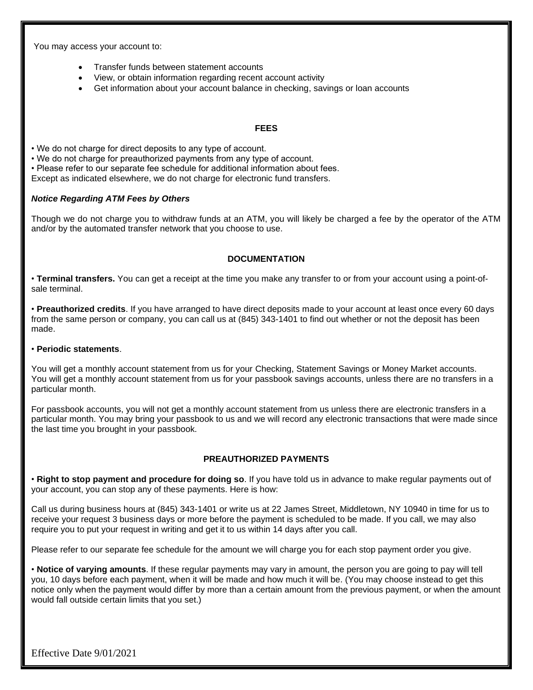You may access your account to:

- Transfer funds between statement accounts
- View, or obtain information regarding recent account activity
- Get information about your account balance in checking, savings or loan accounts

#### **FEES**

• We do not charge for direct deposits to any type of account.

• We do not charge for preauthorized payments from any type of account.

• Please refer to our separate fee schedule for additional information about fees.

Except as indicated elsewhere, we do not charge for electronic fund transfers.

#### *Notice Regarding ATM Fees by Others*

Though we do not charge you to withdraw funds at an ATM, you will likely be charged a fee by the operator of the ATM and/or by the automated transfer network that you choose to use.

#### **DOCUMENTATION**

• **Terminal transfers.** You can get a receipt at the time you make any transfer to or from your account using a point-ofsale terminal.

• **Preauthorized credits**. If you have arranged to have direct deposits made to your account at least once every 60 days from the same person or company, you can call us at (845) 343-1401 to find out whether or not the deposit has been made.

#### • **Periodic statements**.

You will get a monthly account statement from us for your Checking, Statement Savings or Money Market accounts. You will get a monthly account statement from us for your passbook savings accounts, unless there are no transfers in a particular month.

For passbook accounts, you will not get a monthly account statement from us unless there are electronic transfers in a particular month. You may bring your passbook to us and we will record any electronic transactions that were made since the last time you brought in your passbook.

## **PREAUTHORIZED PAYMENTS**

• **Right to stop payment and procedure for doing so**. If you have told us in advance to make regular payments out of your account, you can stop any of these payments. Here is how:

Call us during business hours at (845) 343-1401 or write us at 22 James Street, Middletown, NY 10940 in time for us to receive your request 3 business days or more before the payment is scheduled to be made. If you call, we may also require you to put your request in writing and get it to us within 14 days after you call.

Please refer to our separate fee schedule for the amount we will charge you for each stop payment order you give.

• **Notice of varying amounts**. If these regular payments may vary in amount, the person you are going to pay will tell you, 10 days before each payment, when it will be made and how much it will be. (You may choose instead to get this notice only when the payment would differ by more than a certain amount from the previous payment, or when the amount would fall outside certain limits that you set.)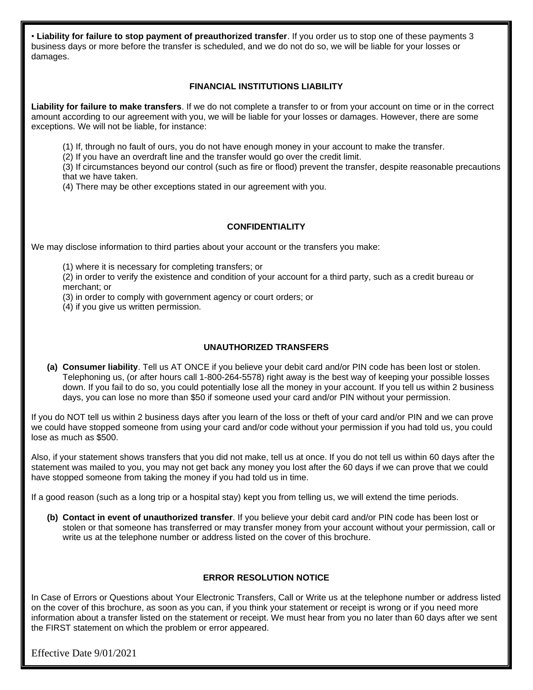• **Liability for failure to stop payment of preauthorized transfer**. If you order us to stop one of these payments 3 business days or more before the transfer is scheduled, and we do not do so, we will be liable for your losses or damages.

## **FINANCIAL INSTITUTIONS LIABILITY**

**Liability for failure to make transfers**. If we do not complete a transfer to or from your account on time or in the correct amount according to our agreement with you, we will be liable for your losses or damages. However, there are some exceptions. We will not be liable, for instance:

(1) If, through no fault of ours, you do not have enough money in your account to make the transfer.

(2) If you have an overdraft line and the transfer would go over the credit limit.

(3) If circumstances beyond our control (such as fire or flood) prevent the transfer, despite reasonable precautions that we have taken.

(4) There may be other exceptions stated in our agreement with you.

## **CONFIDENTIALITY**

We may disclose information to third parties about your account or the transfers you make:

(1) where it is necessary for completing transfers; or

(2) in order to verify the existence and condition of your account for a third party, such as a credit bureau or merchant; or

(3) in order to comply with government agency or court orders; or

(4) if you give us written permission.

## **UNAUTHORIZED TRANSFERS**

**(a) Consumer liability**. Tell us AT ONCE if you believe your debit card and/or PIN code has been lost or stolen. Telephoning us, (or after hours call 1-800-264-5578) right away is the best way of keeping your possible losses down. If you fail to do so, you could potentially lose all the money in your account. If you tell us within 2 business days, you can lose no more than \$50 if someone used your card and/or PIN without your permission.

If you do NOT tell us within 2 business days after you learn of the loss or theft of your card and/or PIN and we can prove we could have stopped someone from using your card and/or code without your permission if you had told us, you could lose as much as \$500.

Also, if your statement shows transfers that you did not make, tell us at once. If you do not tell us within 60 days after the statement was mailed to you, you may not get back any money you lost after the 60 days if we can prove that we could have stopped someone from taking the money if you had told us in time.

If a good reason (such as a long trip or a hospital stay) kept you from telling us, we will extend the time periods.

**(b) Contact in event of unauthorized transfer**. If you believe your debit card and/or PIN code has been lost or stolen or that someone has transferred or may transfer money from your account without your permission, call or write us at the telephone number or address listed on the cover of this brochure.

## **ERROR RESOLUTION NOTICE**

In Case of Errors or Questions about Your Electronic Transfers, Call or Write us at the telephone number or address listed on the cover of this brochure, as soon as you can, if you think your statement or receipt is wrong or if you need more information about a transfer listed on the statement or receipt. We must hear from you no later than 60 days after we sent the FIRST statement on which the problem or error appeared.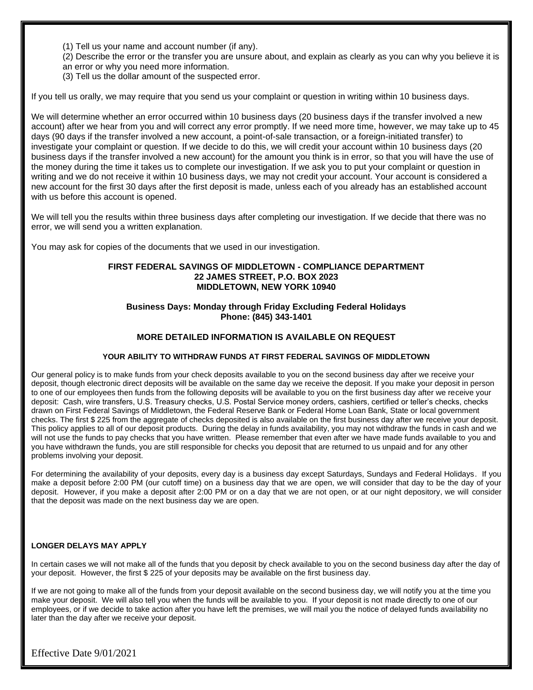(1) Tell us your name and account number (if any).

- (2) Describe the error or the transfer you are unsure about, and explain as clearly as you can why you believe it is an error or why you need more information.
- (3) Tell us the dollar amount of the suspected error.

If you tell us orally, we may require that you send us your complaint or question in writing within 10 business days.

We will determine whether an error occurred within 10 business days (20 business days if the transfer involved a new account) after we hear from you and will correct any error promptly. If we need more time, however, we may take up to 45 days (90 days if the transfer involved a new account, a point-of-sale transaction, or a foreign-initiated transfer) to investigate your complaint or question. If we decide to do this, we will credit your account within 10 business days (20 business days if the transfer involved a new account) for the amount you think is in error, so that you will have the use of the money during the time it takes us to complete our investigation. If we ask you to put your complaint or question in writing and we do not receive it within 10 business days, we may not credit your account. Your account is considered a new account for the first 30 days after the first deposit is made, unless each of you already has an established account with us before this account is opened.

We will tell you the results within three business days after completing our investigation. If we decide that there was no error, we will send you a written explanation.

You may ask for copies of the documents that we used in our investigation.

#### **FIRST FEDERAL SAVINGS OF MIDDLETOWN - COMPLIANCE DEPARTMENT 22 JAMES STREET, P.O. BOX 2023 MIDDLETOWN, NEW YORK 10940**

#### **Business Days: Monday through Friday Excluding Federal Holidays Phone: (845) 343-1401**

#### **MORE DETAILED INFORMATION IS AVAILABLE ON REQUEST**

#### **YOUR ABILITY TO WITHDRAW FUNDS AT FIRST FEDERAL SAVINGS OF MIDDLETOWN**

Our general policy is to make funds from your check deposits available to you on the second business day after we receive your deposit, though electronic direct deposits will be available on the same day we receive the deposit. If you make your deposit in person to one of our employees then funds from the following deposits will be available to you on the first business day after we receive your deposit: Cash, wire transfers, U.S. Treasury checks, U.S. Postal Service money orders, cashiers, certified or teller's checks, checks drawn on First Federal Savings of Middletown, the Federal Reserve Bank or Federal Home Loan Bank, State or local government checks. The first \$ 225 from the aggregate of checks deposited is also available on the first business day after we receive your deposit. This policy applies to all of our deposit products. During the delay in funds availability, you may not withdraw the funds in cash and we will not use the funds to pay checks that you have written. Please remember that even after we have made funds available to vou and you have withdrawn the funds, you are still responsible for checks you deposit that are returned to us unpaid and for any other problems involving your deposit.

For determining the availability of your deposits, every day is a business day except Saturdays, Sundays and Federal Holidays. If you make a deposit before 2:00 PM (our cutoff time) on a business day that we are open, we will consider that day to be the day of your deposit. However, if you make a deposit after 2:00 PM or on a day that we are not open, or at our night depository, we will consider that the deposit was made on the next business day we are open.

#### **LONGER DELAYS MAY APPLY**

In certain cases we will not make all of the funds that you deposit by check available to you on the second business day after the day of your deposit. However, the first \$ 225 of your deposits may be available on the first business day.

If we are not going to make all of the funds from your deposit available on the second business day, we will notify you at the time you make your deposit. We will also tell you when the funds will be available to you. If your deposit is not made directly to one of our employees, or if we decide to take action after you have left the premises, we will mail you the notice of delayed funds availability no later than the day after we receive your deposit.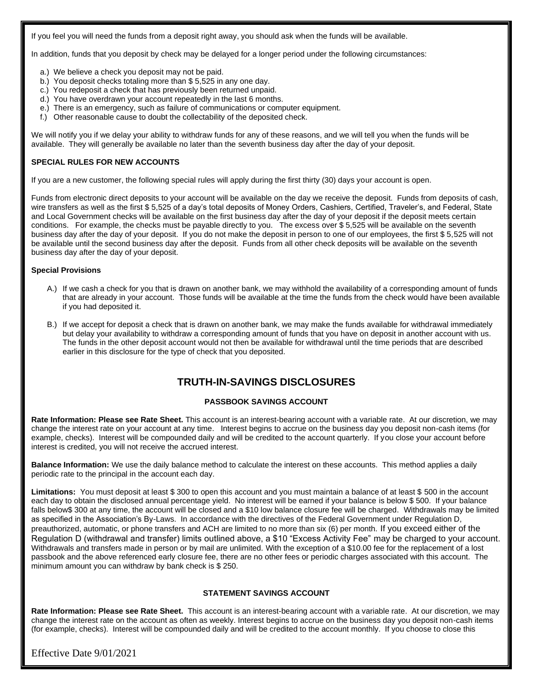If you feel you will need the funds from a deposit right away, you should ask when the funds will be available.

In addition, funds that you deposit by check may be delayed for a longer period under the following circumstances:

- a.) We believe a check you deposit may not be paid.
- b.) You deposit checks totaling more than \$ 5,525 in any one day.
- c.) You redeposit a check that has previously been returned unpaid.
- d.) You have overdrawn your account repeatedly in the last 6 months.
- e.) There is an emergency, such as failure of communications or computer equipment.
- f.) Other reasonable cause to doubt the collectability of the deposited check.

We will notify you if we delay your ability to withdraw funds for any of these reasons, and we will tell you when the funds will be available. They will generally be available no later than the seventh business day after the day of your deposit.

#### **SPECIAL RULES FOR NEW ACCOUNTS**

If you are a new customer, the following special rules will apply during the first thirty (30) days your account is open.

Funds from electronic direct deposits to your account will be available on the day we receive the deposit. Funds from deposits of cash, wire transfers as well as the first \$ 5,525 of a day's total deposits of Money Orders, Cashiers, Certified, Traveler's, and Federal, State and Local Government checks will be available on the first business day after the day of your deposit if the deposit meets certain conditions. For example, the checks must be payable directly to you. The excess over \$ 5,525 will be available on the seventh business day after the day of your deposit. If you do not make the deposit in person to one of our employees, the first \$ 5,525 will not be available until the second business day after the deposit. Funds from all other check deposits will be available on the seventh business day after the day of your deposit.

#### **Special Provisions**

- A.) If we cash a check for you that is drawn on another bank, we may withhold the availability of a corresponding amount of funds that are already in your account. Those funds will be available at the time the funds from the check would have been available if you had deposited it.
- B.) If we accept for deposit a check that is drawn on another bank, we may make the funds available for withdrawal immediately but delay your availability to withdraw a corresponding amount of funds that you have on deposit in another account with us. The funds in the other deposit account would not then be available for withdrawal until the time periods that are described earlier in this disclosure for the type of check that you deposited.

## **TRUTH-IN-SAVINGS DISCLOSURES**

#### **PASSBOOK SAVINGS ACCOUNT**

**Rate Information: Please see Rate Sheet.** This account is an interest-bearing account with a variable rate. At our discretion, we may change the interest rate on your account at any time. Interest begins to accrue on the business day you deposit non-cash items (for example, checks). Interest will be compounded daily and will be credited to the account quarterly. If you close your account before interest is credited, you will not receive the accrued interest.

**Balance Information:** We use the daily balance method to calculate the interest on these accounts. This method applies a daily periodic rate to the principal in the account each day.

**Limitations:** You must deposit at least \$ 300 to open this account and you must maintain a balance of at least \$ 500 in the account each day to obtain the disclosed annual percentage yield. No interest will be earned if your balance is below \$ 500. If your balance falls below\$ 300 at any time, the account will be closed and a \$10 low balance closure fee will be charged. Withdrawals may be limited as specified in the Association's By-Laws. In accordance with the directives of the Federal Government under Regulation D, preauthorized, automatic, or phone transfers and ACH are limited to no more than six (6) per month. If you exceed either of the Regulation D (withdrawal and transfer) limits outlined above, a \$10 "Excess Activity Fee" may be charged to your account. Withdrawals and transfers made in person or by mail are unlimited. With the exception of a \$10.00 fee for the replacement of a lost passbook and the above referenced early closure fee, there are no other fees or periodic charges associated with this account. The minimum amount you can withdraw by bank check is \$ 250.

#### **STATEMENT SAVINGS ACCOUNT**

**Rate Information: Please see Rate Sheet.** This account is an interest-bearing account with a variable rate. At our discretion, we may change the interest rate on the account as often as weekly. Interest begins to accrue on the business day you deposit non-cash items (for example, checks). Interest will be compounded daily and will be credited to the account monthly. If you choose to close this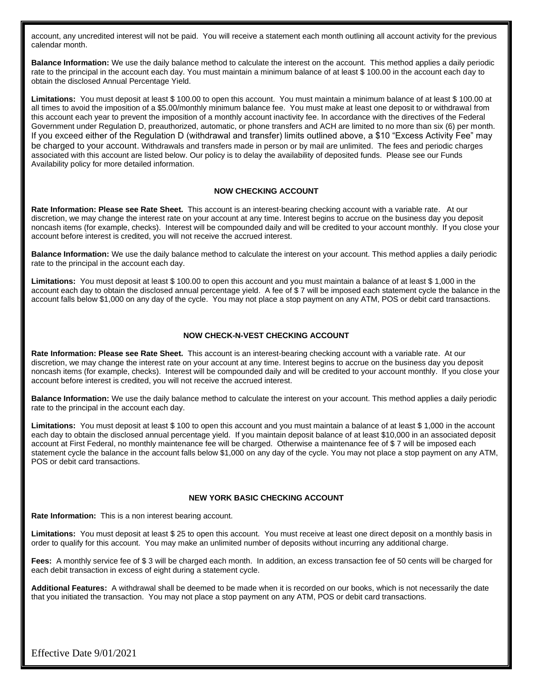account, any uncredited interest will not be paid. You will receive a statement each month outlining all account activity for the previous calendar month.

**Balance Information:** We use the daily balance method to calculate the interest on the account. This method applies a daily periodic rate to the principal in the account each day. You must maintain a minimum balance of at least \$ 100.00 in the account each day to obtain the disclosed Annual Percentage Yield.

**Limitations:** You must deposit at least \$ 100.00 to open this account. You must maintain a minimum balance of at least \$ 100.00 at all times to avoid the imposition of a \$5.00/monthly minimum balance fee. You must make at least one deposit to or withdrawal from this account each year to prevent the imposition of a monthly account inactivity fee. In accordance with the directives of the Federal Government under Regulation D, preauthorized, automatic, or phone transfers and ACH are limited to no more than six (6) per month. If you exceed either of the Regulation D (withdrawal and transfer) limits outlined above, a \$10 "Excess Activity Fee" may be charged to your account. Withdrawals and transfers made in person or by mail are unlimited. The fees and periodic charges associated with this account are listed below. Our policy is to delay the availability of deposited funds. Please see our Funds Availability policy for more detailed information.

#### **NOW CHECKING ACCOUNT**

**Rate Information: Please see Rate Sheet.** This account is an interest-bearing checking account with a variable rate. At our discretion, we may change the interest rate on your account at any time. Interest begins to accrue on the business day you deposit noncash items (for example, checks). Interest will be compounded daily and will be credited to your account monthly. If you close your account before interest is credited, you will not receive the accrued interest.

**Balance Information:** We use the daily balance method to calculate the interest on your account. This method applies a daily periodic rate to the principal in the account each day.

**Limitations:** You must deposit at least \$ 100.00 to open this account and you must maintain a balance of at least \$ 1,000 in the account each day to obtain the disclosed annual percentage yield. A fee of \$ 7 will be imposed each statement cycle the balance in the account falls below \$1,000 on any day of the cycle. You may not place a stop payment on any ATM, POS or debit card transactions.

#### **NOW CHECK-N-VEST CHECKING ACCOUNT**

**Rate Information: Please see Rate Sheet.** This account is an interest-bearing checking account with a variable rate. At our discretion, we may change the interest rate on your account at any time. Interest begins to accrue on the business day you deposit noncash items (for example, checks). Interest will be compounded daily and will be credited to your account monthly. If you close your account before interest is credited, you will not receive the accrued interest.

**Balance Information:** We use the daily balance method to calculate the interest on your account. This method applies a daily periodic rate to the principal in the account each day.

**Limitations:** You must deposit at least \$ 100 to open this account and you must maintain a balance of at least \$ 1,000 in the account each day to obtain the disclosed annual percentage yield. If you maintain deposit balance of at least \$10,000 in an associated deposit account at First Federal, no monthly maintenance fee will be charged. Otherwise a maintenance fee of \$ 7 will be imposed each statement cycle the balance in the account falls below \$1,000 on any day of the cycle. You may not place a stop payment on any ATM, POS or debit card transactions.

#### **NEW YORK BASIC CHECKING ACCOUNT**

**Rate Information:** This is a non interest bearing account.

**Limitations:** You must deposit at least \$ 25 to open this account. You must receive at least one direct deposit on a monthly basis in order to qualify for this account. You may make an unlimited number of deposits without incurring any additional charge.

**Fees:** A monthly service fee of \$ 3 will be charged each month. In addition, an excess transaction fee of 50 cents will be charged for each debit transaction in excess of eight during a statement cycle.

**Additional Features:** A withdrawal shall be deemed to be made when it is recorded on our books, which is not necessarily the date that you initiated the transaction. You may not place a stop payment on any ATM, POS or debit card transactions.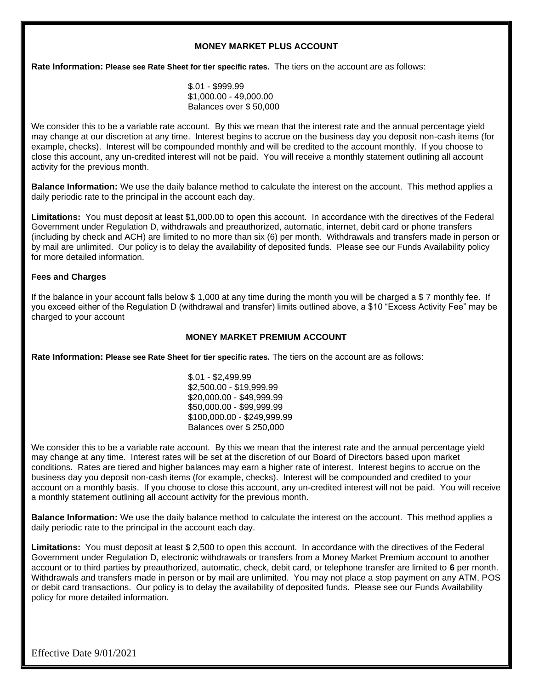#### **MONEY MARKET PLUS ACCOUNT**

**Rate Information: Please see Rate Sheet for tier specific rates.** The tiers on the account are as follows:

\$.01 - \$999.99 \$1,000.00 - 49,000.00 Balances over \$ 50,000

We consider this to be a variable rate account. By this we mean that the interest rate and the annual percentage yield may change at our discretion at any time. Interest begins to accrue on the business day you deposit non-cash items (for example, checks). Interest will be compounded monthly and will be credited to the account monthly. If you choose to close this account, any un-credited interest will not be paid. You will receive a monthly statement outlining all account activity for the previous month.

**Balance Information:** We use the daily balance method to calculate the interest on the account. This method applies a daily periodic rate to the principal in the account each day.

**Limitations:** You must deposit at least \$1,000.00 to open this account. In accordance with the directives of the Federal Government under Regulation D, withdrawals and preauthorized, automatic, internet, debit card or phone transfers (including by check and ACH) are limited to no more than six (6) per month. Withdrawals and transfers made in person or by mail are unlimited. Our policy is to delay the availability of deposited funds. Please see our Funds Availability policy for more detailed information.

#### **Fees and Charges**

If the balance in your account falls below \$1,000 at any time during the month you will be charged a \$7 monthly fee. If you exceed either of the Regulation D (withdrawal and transfer) limits outlined above, a \$10 "Excess Activity Fee" may be charged to your account

#### **MONEY MARKET PREMIUM ACCOUNT**

**Rate Information: Please see Rate Sheet for tier specific rates.** The tiers on the account are as follows:

\$.01 - \$2,499.99 \$2,500.00 - \$19,999.99 \$20,000.00 - \$49,999.99 \$50,000.00 - \$99,999.99 \$100,000.00 - \$249,999.99 Balances over \$ 250,000

We consider this to be a variable rate account. By this we mean that the interest rate and the annual percentage yield may change at any time. Interest rates will be set at the discretion of our Board of Directors based upon market conditions. Rates are tiered and higher balances may earn a higher rate of interest. Interest begins to accrue on the business day you deposit non-cash items (for example, checks). Interest will be compounded and credited to your account on a monthly basis. If you choose to close this account, any un-credited interest will not be paid. You will receive a monthly statement outlining all account activity for the previous month.

**Balance Information:** We use the daily balance method to calculate the interest on the account. This method applies a daily periodic rate to the principal in the account each day.

**Limitations:** You must deposit at least \$ 2,500 to open this account. In accordance with the directives of the Federal Government under Regulation D, electronic withdrawals or transfers from a Money Market Premium account to another account or to third parties by preauthorized, automatic, check, debit card, or telephone transfer are limited to **6** per month. Withdrawals and transfers made in person or by mail are unlimited. You may not place a stop payment on any ATM, POS or debit card transactions. Our policy is to delay the availability of deposited funds. Please see our Funds Availability policy for more detailed information.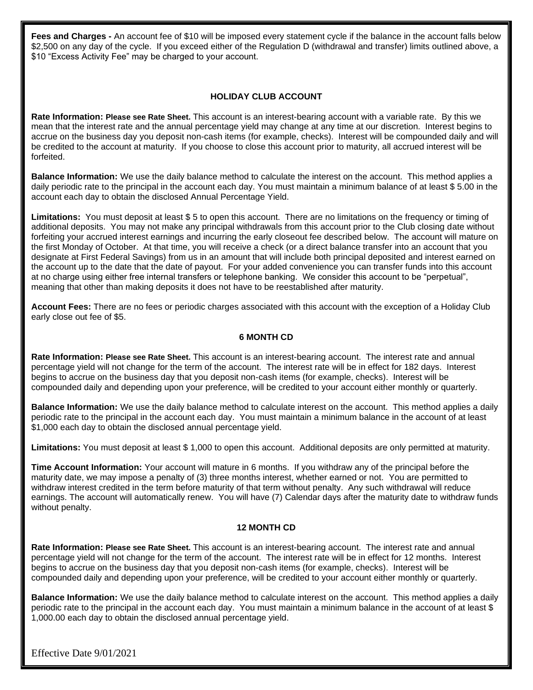**Fees and Charges -** An account fee of \$10 will be imposed every statement cycle if the balance in the account falls below \$2,500 on any day of the cycle. If you exceed either of the Regulation D (withdrawal and transfer) limits outlined above, a \$10 "Excess Activity Fee" may be charged to your account.

## **HOLIDAY CLUB ACCOUNT**

**Rate Information: Please see Rate Sheet.** This account is an interest-bearing account with a variable rate. By this we mean that the interest rate and the annual percentage yield may change at any time at our discretion. Interest begins to accrue on the business day you deposit non-cash items (for example, checks). Interest will be compounded daily and will be credited to the account at maturity. If you choose to close this account prior to maturity, all accrued interest will be forfeited.

**Balance Information:** We use the daily balance method to calculate the interest on the account. This method applies a daily periodic rate to the principal in the account each day. You must maintain a minimum balance of at least \$ 5.00 in the account each day to obtain the disclosed Annual Percentage Yield.

Limitations: You must deposit at least \$ 5 to open this account. There are no limitations on the frequency or timing of additional deposits. You may not make any principal withdrawals from this account prior to the Club closing date without forfeiting your accrued interest earnings and incurring the early closeout fee described below. The account will mature on the first Monday of October. At that time, you will receive a check (or a direct balance transfer into an account that you designate at First Federal Savings) from us in an amount that will include both principal deposited and interest earned on the account up to the date that the date of payout. For your added convenience you can transfer funds into this account at no charge using either free internal transfers or telephone banking. We consider this account to be "perpetual", meaning that other than making deposits it does not have to be reestablished after maturity.

**Account Fees:** There are no fees or periodic charges associated with this account with the exception of a Holiday Club early close out fee of \$5.

## **6 MONTH CD**

**Rate Information: Please see Rate Sheet.** This account is an interest-bearing account. The interest rate and annual percentage yield will not change for the term of the account. The interest rate will be in effect for 182 days. Interest begins to accrue on the business day that you deposit non-cash items (for example, checks). Interest will be compounded daily and depending upon your preference, will be credited to your account either monthly or quarterly.

**Balance Information:** We use the daily balance method to calculate interest on the account. This method applies a daily periodic rate to the principal in the account each day. You must maintain a minimum balance in the account of at least \$1,000 each day to obtain the disclosed annual percentage yield.

**Limitations:** You must deposit at least \$ 1,000 to open this account. Additional deposits are only permitted at maturity.

**Time Account Information:** Your account will mature in 6 months. If you withdraw any of the principal before the maturity date, we may impose a penalty of (3) three months interest, whether earned or not. You are permitted to withdraw interest credited in the term before maturity of that term without penalty. Any such withdrawal will reduce earnings. The account will automatically renew. You will have (7) Calendar days after the maturity date to withdraw funds without penalty.

## **12 MONTH CD**

**Rate Information: Please see Rate Sheet.** This account is an interest-bearing account. The interest rate and annual percentage yield will not change for the term of the account. The interest rate will be in effect for 12 months. Interest begins to accrue on the business day that you deposit non-cash items (for example, checks). Interest will be compounded daily and depending upon your preference, will be credited to your account either monthly or quarterly.

**Balance Information:** We use the daily balance method to calculate interest on the account. This method applies a daily periodic rate to the principal in the account each day. You must maintain a minimum balance in the account of at least \$ 1,000.00 each day to obtain the disclosed annual percentage yield.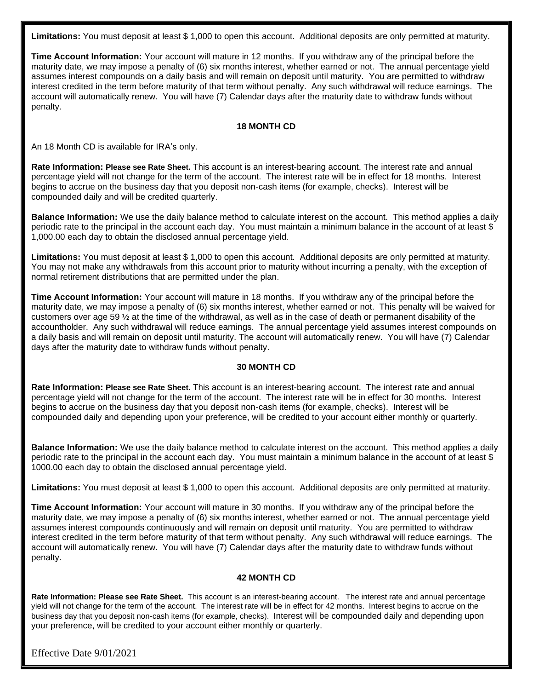**Limitations:** You must deposit at least \$ 1,000 to open this account. Additional deposits are only permitted at maturity.

**Time Account Information:** Your account will mature in 12 months. If you withdraw any of the principal before the maturity date, we may impose a penalty of (6) six months interest, whether earned or not. The annual percentage yield assumes interest compounds on a daily basis and will remain on deposit until maturity. You are permitted to withdraw interest credited in the term before maturity of that term without penalty. Any such withdrawal will reduce earnings. The account will automatically renew. You will have (7) Calendar days after the maturity date to withdraw funds without penalty.

#### **18 MONTH CD**

An 18 Month CD is available for IRA's only.

**Rate Information: Please see Rate Sheet.** This account is an interest-bearing account. The interest rate and annual percentage yield will not change for the term of the account. The interest rate will be in effect for 18 months. Interest begins to accrue on the business day that you deposit non-cash items (for example, checks). Interest will be compounded daily and will be credited quarterly.

**Balance Information:** We use the daily balance method to calculate interest on the account. This method applies a daily periodic rate to the principal in the account each day. You must maintain a minimum balance in the account of at least \$ 1,000.00 each day to obtain the disclosed annual percentage yield.

**Limitations:** You must deposit at least \$ 1,000 to open this account. Additional deposits are only permitted at maturity. You may not make any withdrawals from this account prior to maturity without incurring a penalty, with the exception of normal retirement distributions that are permitted under the plan.

**Time Account Information:** Your account will mature in 18 months. If you withdraw any of the principal before the maturity date, we may impose a penalty of (6) six months interest, whether earned or not. This penalty will be waived for customers over age 59 ½ at the time of the withdrawal, as well as in the case of death or permanent disability of the accountholder. Any such withdrawal will reduce earnings. The annual percentage yield assumes interest compounds on a daily basis and will remain on deposit until maturity. The account will automatically renew. You will have (7) Calendar days after the maturity date to withdraw funds without penalty.

#### **30 MONTH CD**

**Rate Information: Please see Rate Sheet.** This account is an interest-bearing account. The interest rate and annual percentage yield will not change for the term of the account. The interest rate will be in effect for 30 months. Interest begins to accrue on the business day that you deposit non-cash items (for example, checks). Interest will be compounded daily and depending upon your preference, will be credited to your account either monthly or quarterly.

**Balance Information:** We use the daily balance method to calculate interest on the account. This method applies a daily periodic rate to the principal in the account each day. You must maintain a minimum balance in the account of at least \$ 1000.00 each day to obtain the disclosed annual percentage yield.

**Limitations:** You must deposit at least \$ 1,000 to open this account. Additional deposits are only permitted at maturity.

**Time Account Information:** Your account will mature in 30 months. If you withdraw any of the principal before the maturity date, we may impose a penalty of (6) six months interest, whether earned or not. The annual percentage yield assumes interest compounds continuously and will remain on deposit until maturity. You are permitted to withdraw interest credited in the term before maturity of that term without penalty. Any such withdrawal will reduce earnings. The account will automatically renew. You will have (7) Calendar days after the maturity date to withdraw funds without penalty.

#### **42 MONTH CD**

**Rate Information: Please see Rate Sheet.** This account is an interest-bearing account. The interest rate and annual percentage yield will not change for the term of the account. The interest rate will be in effect for 42 months. Interest begins to accrue on the business day that you deposit non-cash items (for example, checks). Interest will be compounded daily and depending upon your preference, will be credited to your account either monthly or quarterly.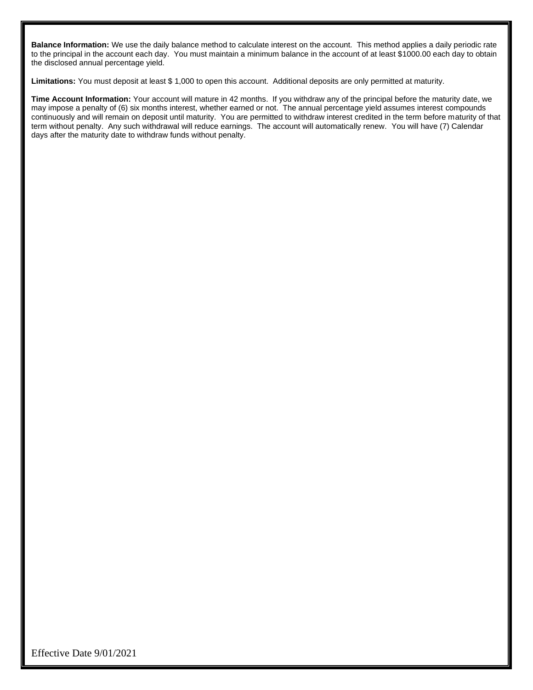**Balance Information:** We use the daily balance method to calculate interest on the account. This method applies a daily periodic rate to the principal in the account each day. You must maintain a minimum balance in the account of at least \$1000.00 each day to obtain the disclosed annual percentage yield.

**Limitations:** You must deposit at least \$ 1,000 to open this account. Additional deposits are only permitted at maturity.

**Time Account Information:** Your account will mature in 42 months. If you withdraw any of the principal before the maturity date, we may impose a penalty of (6) six months interest, whether earned or not. The annual percentage yield assumes interest compounds continuously and will remain on deposit until maturity. You are permitted to withdraw interest credited in the term before maturity of that term without penalty. Any such withdrawal will reduce earnings. The account will automatically renew. You will have (7) Calendar days after the maturity date to withdraw funds without penalty.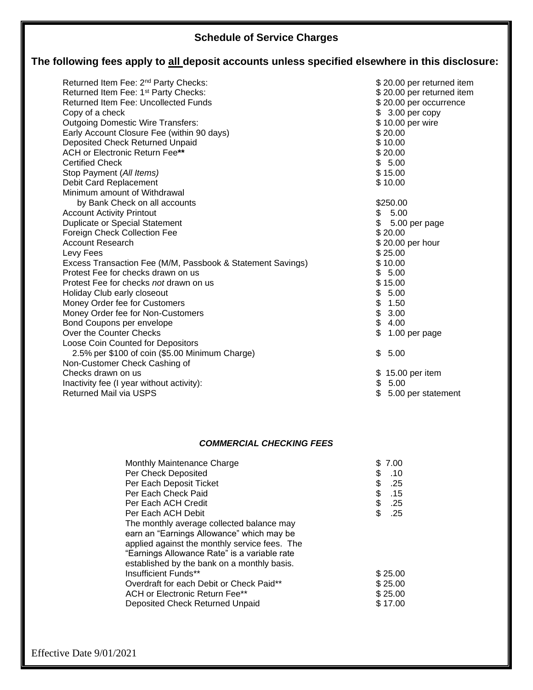## **Schedule of Service Charges**

## **The following fees apply to all deposit accounts unless specified elsewhere in this disclosure:**

| Returned Item Fee: 2 <sup>nd</sup> Party Checks:<br>Returned Item Fee: 1 <sup>st</sup> Party Checks:<br><b>Returned Item Fee: Uncollected Funds</b><br>Copy of a check<br><b>Outgoing Domestic Wire Transfers:</b><br>Early Account Closure Fee (within 90 days)<br>Deposited Check Returned Unpaid<br><b>ACH or Electronic Return Fee**</b><br><b>Certified Check</b><br>Stop Payment (All Items)<br>Debit Card Replacement | \$20.00 per returned item<br>\$20.00 per returned item<br>\$20.00 per occurrence<br>$$3.00$ per copy<br>\$10.00 per wire<br>\$20.00<br>\$10.00<br>\$20.00<br>\$5.00<br>\$15.00<br>\$10.00 |
|------------------------------------------------------------------------------------------------------------------------------------------------------------------------------------------------------------------------------------------------------------------------------------------------------------------------------------------------------------------------------------------------------------------------------|-------------------------------------------------------------------------------------------------------------------------------------------------------------------------------------------|
| Minimum amount of Withdrawal                                                                                                                                                                                                                                                                                                                                                                                                 |                                                                                                                                                                                           |
| by Bank Check on all accounts                                                                                                                                                                                                                                                                                                                                                                                                | \$250.00                                                                                                                                                                                  |
| <b>Account Activity Printout</b>                                                                                                                                                                                                                                                                                                                                                                                             | \$5.00                                                                                                                                                                                    |
| <b>Duplicate or Special Statement</b>                                                                                                                                                                                                                                                                                                                                                                                        | \$<br>5.00 per page                                                                                                                                                                       |
| Foreign Check Collection Fee                                                                                                                                                                                                                                                                                                                                                                                                 | \$20.00                                                                                                                                                                                   |
| <b>Account Research</b>                                                                                                                                                                                                                                                                                                                                                                                                      | \$20.00 per hour                                                                                                                                                                          |
| Levy Fees                                                                                                                                                                                                                                                                                                                                                                                                                    | \$25.00                                                                                                                                                                                   |
| Excess Transaction Fee (M/M, Passbook & Statement Savings)                                                                                                                                                                                                                                                                                                                                                                   | \$10.00                                                                                                                                                                                   |
| Protest Fee for checks drawn on us                                                                                                                                                                                                                                                                                                                                                                                           | \$5.00                                                                                                                                                                                    |
| Protest Fee for checks not drawn on us                                                                                                                                                                                                                                                                                                                                                                                       | \$15.00                                                                                                                                                                                   |
| Holiday Club early closeout                                                                                                                                                                                                                                                                                                                                                                                                  | \$<br>5.00                                                                                                                                                                                |
| Money Order fee for Customers                                                                                                                                                                                                                                                                                                                                                                                                | \$<br>1.50                                                                                                                                                                                |
| Money Order fee for Non-Customers                                                                                                                                                                                                                                                                                                                                                                                            | \$<br>3.00                                                                                                                                                                                |
| Bond Coupons per envelope                                                                                                                                                                                                                                                                                                                                                                                                    | \$<br>4.00                                                                                                                                                                                |
| Over the Counter Checks                                                                                                                                                                                                                                                                                                                                                                                                      | \$<br>1.00 per page                                                                                                                                                                       |
| Loose Coin Counted for Depositors<br>2.5% per \$100 of coin (\$5.00 Minimum Charge)                                                                                                                                                                                                                                                                                                                                          | 5.00<br>\$                                                                                                                                                                                |
| Non-Customer Check Cashing of                                                                                                                                                                                                                                                                                                                                                                                                |                                                                                                                                                                                           |
| Checks drawn on us                                                                                                                                                                                                                                                                                                                                                                                                           | \$15.00 per item                                                                                                                                                                          |
| Inactivity fee (I year without activity):                                                                                                                                                                                                                                                                                                                                                                                    | \$5.00                                                                                                                                                                                    |
| <b>Returned Mail via USPS</b>                                                                                                                                                                                                                                                                                                                                                                                                | 5.00 per statement                                                                                                                                                                        |
|                                                                                                                                                                                                                                                                                                                                                                                                                              |                                                                                                                                                                                           |

## *COMMERCIAL CHECKING FEES*

| Monthly Maintenance Charge                    | \$ | 7.00    |
|-----------------------------------------------|----|---------|
| Per Check Deposited                           | S  | .10     |
| Per Each Deposit Ticket                       | \$ | .25     |
| Per Each Check Paid                           | \$ | .15     |
| Per Each ACH Credit                           | \$ | .25     |
| Per Each ACH Debit                            | \$ | .25     |
| The monthly average collected balance may     |    |         |
| earn an "Earnings Allowance" which may be     |    |         |
| applied against the monthly service fees. The |    |         |
| "Earnings Allowance Rate" is a variable rate  |    |         |
| established by the bank on a monthly basis.   |    |         |
| Insufficient Funds**                          |    | \$25.00 |
| Overdraft for each Debit or Check Paid**      |    | \$25.00 |
| ACH or Electronic Return Fee**                |    | \$25.00 |
| Deposited Check Returned Unpaid               |    | \$17.00 |
|                                               |    |         |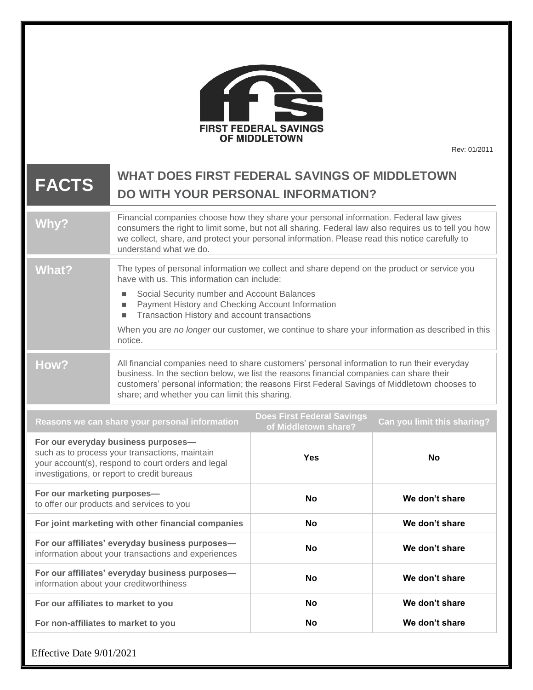|                                                                                                                                                                                            |                                                                                                                                                                                                                                                                                                                                                                                                                            | <b>FIRST FEDERAL SAVINGS</b><br><b>OF MIDDLETOWN</b> | Rev: 01/2011   |
|--------------------------------------------------------------------------------------------------------------------------------------------------------------------------------------------|----------------------------------------------------------------------------------------------------------------------------------------------------------------------------------------------------------------------------------------------------------------------------------------------------------------------------------------------------------------------------------------------------------------------------|------------------------------------------------------|----------------|
| <b>FACTS</b>                                                                                                                                                                               | <b>WHAT DOES FIRST FEDERAL SAVINGS OF MIDDLETOWN</b><br><b>DO WITH YOUR PERSONAL INFORMATION?</b>                                                                                                                                                                                                                                                                                                                          |                                                      |                |
| Why?                                                                                                                                                                                       | Financial companies choose how they share your personal information. Federal law gives<br>consumers the right to limit some, but not all sharing. Federal law also requires us to tell you how<br>we collect, share, and protect your personal information. Please read this notice carefully to<br>understand what we do.                                                                                                 |                                                      |                |
| <b>What?</b>                                                                                                                                                                               | The types of personal information we collect and share depend on the product or service you<br>have with us. This information can include:<br>Social Security number and Account Balances<br>п<br>Payment History and Checking Account Information<br>п<br>Transaction History and account transactions<br>ш<br>When you are no longer our customer, we continue to share your information as described in this<br>notice. |                                                      |                |
| How?                                                                                                                                                                                       | All financial companies need to share customers' personal information to run their everyday<br>business. In the section below, we list the reasons financial companies can share their<br>customers' personal information; the reasons First Federal Savings of Middletown chooses to<br>share; and whether you can limit this sharing.                                                                                    |                                                      |                |
| <b>Does First Federal Savings</b><br>Reasons we can share your personal information<br>Can you limit this sharing?<br>of Middletown share?                                                 |                                                                                                                                                                                                                                                                                                                                                                                                                            |                                                      |                |
| For our everyday business purposes-<br>such as to process your transactions, maintain<br>your account(s), respond to court orders and legal<br>investigations, or report to credit bureaus |                                                                                                                                                                                                                                                                                                                                                                                                                            | <b>Yes</b>                                           | <b>No</b>      |
| For our marketing purposes-<br>to offer our products and services to you                                                                                                                   |                                                                                                                                                                                                                                                                                                                                                                                                                            | No                                                   | We don't share |
| For joint marketing with other financial companies                                                                                                                                         |                                                                                                                                                                                                                                                                                                                                                                                                                            | <b>No</b>                                            | We don't share |
| For our affiliates' everyday business purposes-<br>information about your transactions and experiences                                                                                     |                                                                                                                                                                                                                                                                                                                                                                                                                            | <b>No</b>                                            | We don't share |
| For our affiliates' everyday business purposes-<br>information about your creditworthiness                                                                                                 |                                                                                                                                                                                                                                                                                                                                                                                                                            | <b>No</b>                                            | We don't share |
| For our affiliates to market to you                                                                                                                                                        |                                                                                                                                                                                                                                                                                                                                                                                                                            | <b>No</b>                                            | We don't share |
| For non-affiliates to market to you<br>We don't share<br><b>No</b>                                                                                                                         |                                                                                                                                                                                                                                                                                                                                                                                                                            |                                                      |                |